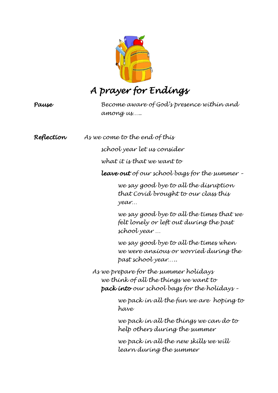

# *Pause Become aware of God's presence within and among us….. Reflection As we come to the end of this school year let us consider what it is that we want to leave out of our school bags for the summer – we say good bye to all the disruption that Covid brought to our class this year… we say good bye to all the times that we felt lonely or left out during the past school year … we say good bye to all the times when we were anxious or worried during the past school year….. As we prepare for the summer holidays we think of all the things we want to pack into our school bags for the holidays – we pack in all the fun we are hoping to have we pack in all the things we can do to help others during the summer we pack in all the new skills we will learn during the summer*